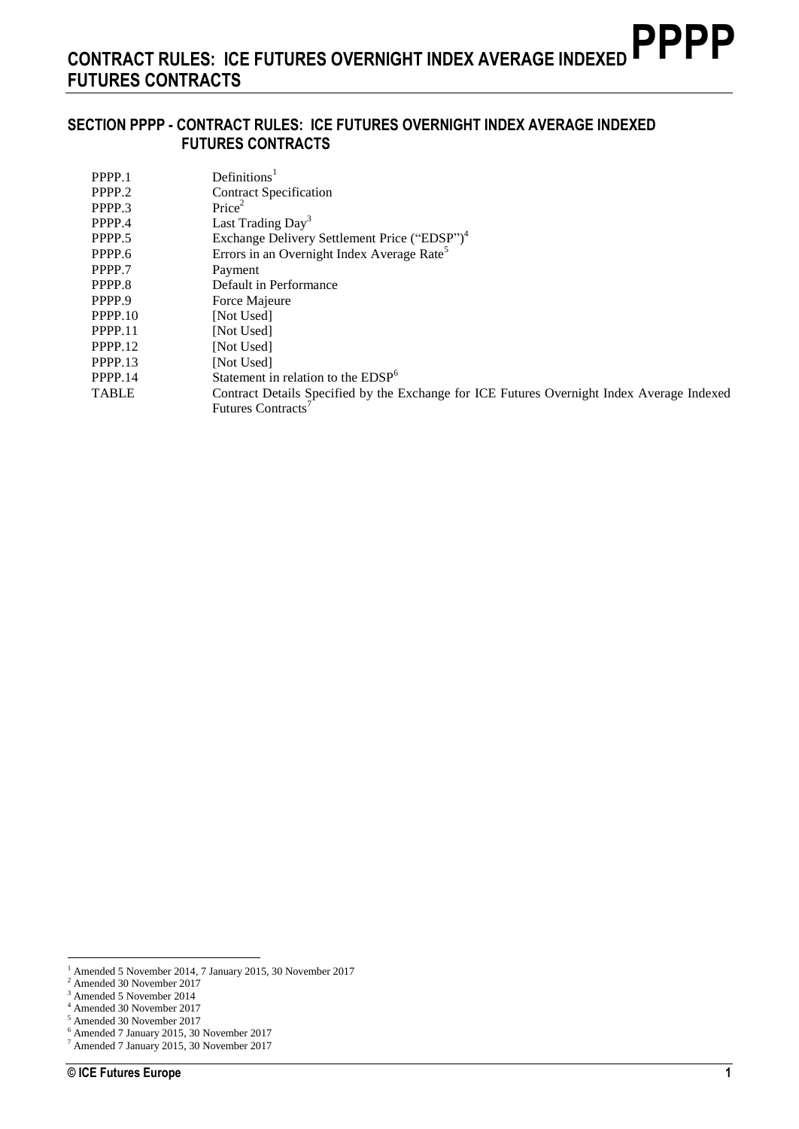#### **SECTION PPPP - CONTRACT RULES: ICE FUTURES OVERNIGHT INDEX AVERAGE INDEXED FUTURES CONTRACTS**

| PPPP.1       | Definition <sup>1</sup>                                                                    |
|--------------|--------------------------------------------------------------------------------------------|
| PPPP.2       | <b>Contract Specification</b>                                                              |
| PPPP.3       | Price <sup>2</sup>                                                                         |
| PPPP.4       | Last Trading Day <sup>3</sup>                                                              |
| PPPP.5       | Exchange Delivery Settlement Price ("EDSP") <sup>4</sup>                                   |
| PPPP.6       | Errors in an Overnight Index Average Rate <sup>5</sup>                                     |
| PPPP.7       | Payment                                                                                    |
| PPPP.8       | Default in Performance                                                                     |
| PPPP.9       | Force Majeure                                                                              |
| PPPP.10      | [Not Used]                                                                                 |
| PPPP.11      | [Not Used]                                                                                 |
| PPPP.12      | [Not Used]                                                                                 |
| PPPP.13      | [Not Used]                                                                                 |
| PPPP.14      | Statement in relation to the $EDSP6$                                                       |
| <b>TABLE</b> | Contract Details Specified by the Exchange for ICE Futures Overnight Index Average Indexed |
|              | <b>Futures Contracts</b>                                                                   |

<sup>1</sup> Amended 5 November 2014, 7 January 2015, 30 November 2017

<sup>2</sup> Amended 30 November 2017

 $^{\rm 3}$  Amended 5 November 2014

<sup>4</sup> Amended 30 November 2017 <sup>5</sup> Amended 30 November 2017

<sup>6</sup> Amended 7 January 2015, 30 November 2017

<sup>7</sup> Amended 7 January 2015, 30 November 2017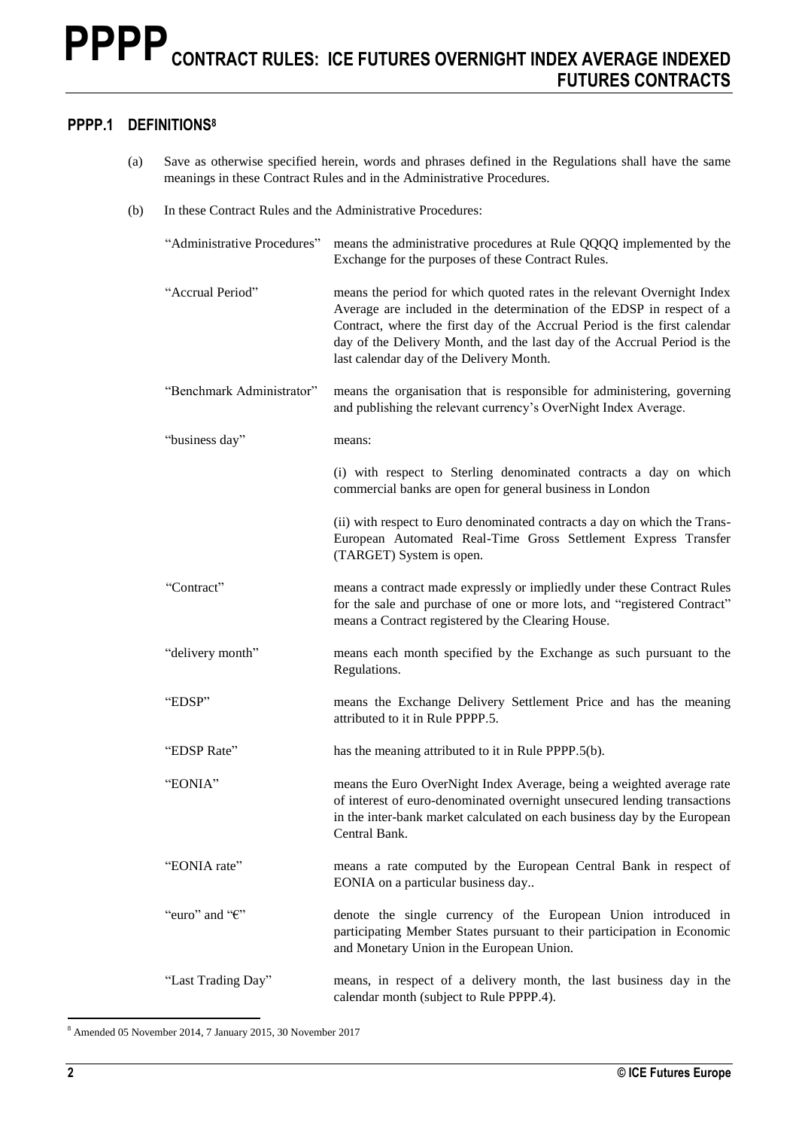## **PPPP.1 DEFINITIONS<sup>8</sup>**

- (a) Save as otherwise specified herein, words and phrases defined in the Regulations shall have the same meanings in these Contract Rules and in the Administrative Procedures.
- (b) In these Contract Rules and the Administrative Procedures:

| "Administrative Procedures" | means the administrative procedures at Rule QQQQ implemented by the<br>Exchange for the purposes of these Contract Rules.                                                                                                                                                                                                                             |
|-----------------------------|-------------------------------------------------------------------------------------------------------------------------------------------------------------------------------------------------------------------------------------------------------------------------------------------------------------------------------------------------------|
| "Accrual Period"            | means the period for which quoted rates in the relevant Overnight Index<br>Average are included in the determination of the EDSP in respect of a<br>Contract, where the first day of the Accrual Period is the first calendar<br>day of the Delivery Month, and the last day of the Accrual Period is the<br>last calendar day of the Delivery Month. |
| "Benchmark Administrator"   | means the organisation that is responsible for administering, governing<br>and publishing the relevant currency's OverNight Index Average.                                                                                                                                                                                                            |
| "business day"              | means:                                                                                                                                                                                                                                                                                                                                                |
|                             | (i) with respect to Sterling denominated contracts a day on which<br>commercial banks are open for general business in London                                                                                                                                                                                                                         |
|                             | (ii) with respect to Euro denominated contracts a day on which the Trans-<br>European Automated Real-Time Gross Settlement Express Transfer<br>(TARGET) System is open.                                                                                                                                                                               |
| "Contract"                  | means a contract made expressly or impliedly under these Contract Rules<br>for the sale and purchase of one or more lots, and "registered Contract"<br>means a Contract registered by the Clearing House.                                                                                                                                             |
| "delivery month"            | means each month specified by the Exchange as such pursuant to the<br>Regulations.                                                                                                                                                                                                                                                                    |
| "EDSP"                      | means the Exchange Delivery Settlement Price and has the meaning<br>attributed to it in Rule PPPP.5.                                                                                                                                                                                                                                                  |
| "EDSP Rate"                 | has the meaning attributed to it in Rule PPPP.5(b).                                                                                                                                                                                                                                                                                                   |
| "EONIA"                     | means the Euro OverNight Index Average, being a weighted average rate<br>of interest of euro-denominated overnight unsecured lending transactions<br>in the inter-bank market calculated on each business day by the European<br>Central Bank.                                                                                                        |
| "EONIA rate"                | means a rate computed by the European Central Bank in respect of<br>EONIA on a particular business day                                                                                                                                                                                                                                                |
| "euro" and " $\epsilon$ "   | denote the single currency of the European Union introduced in<br>participating Member States pursuant to their participation in Economic<br>and Monetary Union in the European Union.                                                                                                                                                                |
| "Last Trading Day"          | means, in respect of a delivery month, the last business day in the<br>calendar month (subject to Rule PPPP.4).                                                                                                                                                                                                                                       |

 $\overline{a}$ <sup>8</sup> Amended 05 November 2014, 7 January 2015, 30 November 2017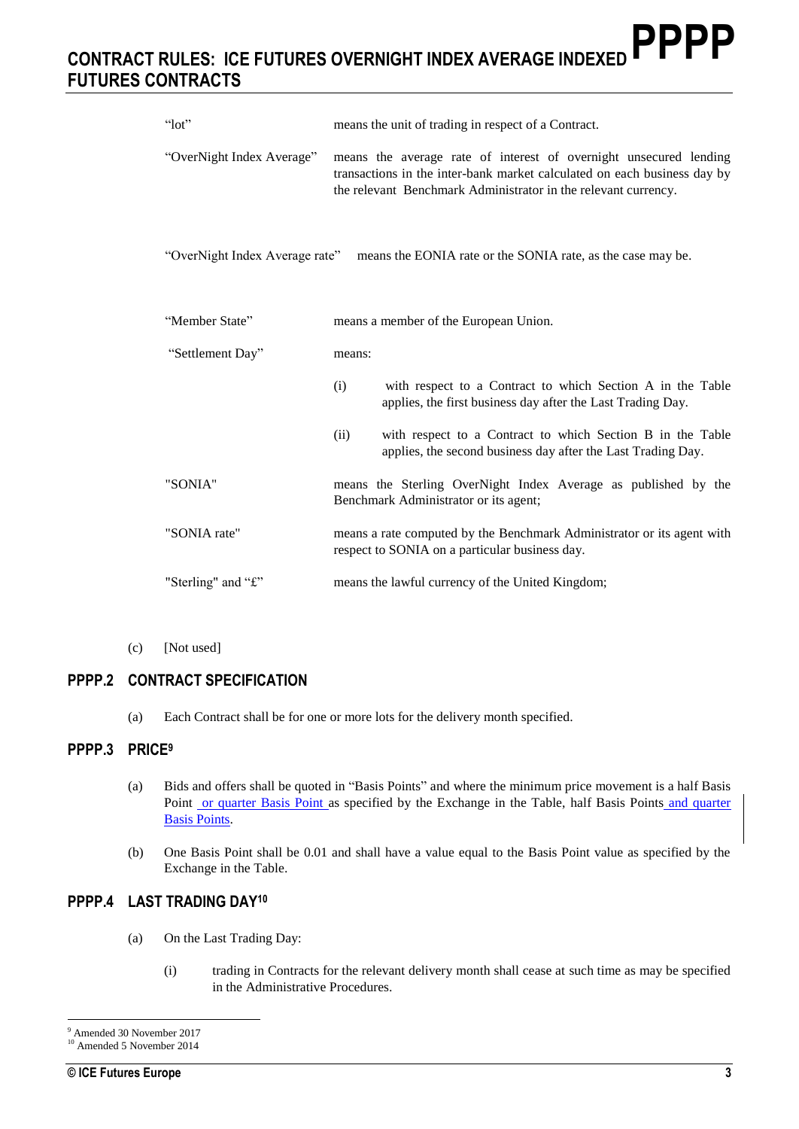## **CONTRACT RULES: ICE FUTURES OVERNIGHT INDEX AVERAGE INDEXED FUTURES CONTRACTS PPPP**

| " $10t$ "                      | means the unit of trading in respect of a Contract.                                                                                                                                                             |  |
|--------------------------------|-----------------------------------------------------------------------------------------------------------------------------------------------------------------------------------------------------------------|--|
| "OverNight Index Average"      | means the average rate of interest of overnight unsecured lending<br>transactions in the inter-bank market calculated on each business day by<br>the relevant Benchmark Administrator in the relevant currency. |  |
| "OverNight Index Average rate" | means the EONIA rate or the SONIA rate, as the case may be.                                                                                                                                                     |  |
| "Member State"                 | means a member of the European Union.                                                                                                                                                                           |  |
| "Settlement Day"               | means:                                                                                                                                                                                                          |  |
|                                | (i)<br>with respect to a Contract to which Section A in the Table<br>applies, the first business day after the Last Trading Day.                                                                                |  |
|                                | (ii)<br>with respect to a Contract to which Section B in the Table<br>applies, the second business day after the Last Trading Day.                                                                              |  |
| "SONIA"                        | means the Sterling OverNight Index Average as published by the<br>Benchmark Administrator or its agent;                                                                                                         |  |
| "SONIA rate"                   | means a rate computed by the Benchmark Administrator or its agent with<br>respect to SONIA on a particular business day.                                                                                        |  |
| "Sterling" and "£"             | means the lawful currency of the United Kingdom;                                                                                                                                                                |  |

(c) [Not used]

## **PPPP.2 CONTRACT SPECIFICATION**

(a) Each Contract shall be for one or more lots for the delivery month specified.

#### **PPPP.3 PRICE<sup>9</sup>**

- (a) Bids and offers shall be quoted in "Basis Points" and where the minimum price movement is a half Basis Point or quarter Basis Point as specified by the Exchange in the Table, half Basis Points and quarter Basis Points.
- (b) One Basis Point shall be 0.01 and shall have a value equal to the Basis Point value as specified by the Exchange in the Table.

#### **PPPP.4 LAST TRADING DAY<sup>10</sup>**

- (a) On the Last Trading Day:
	- (i) trading in Contracts for the relevant delivery month shall cease at such time as may be specified in the Administrative Procedures.

 $\overline{a}$ <sup>9</sup> Amended 30 November 2017

<sup>&</sup>lt;sup>10</sup> Amended 5 November 2014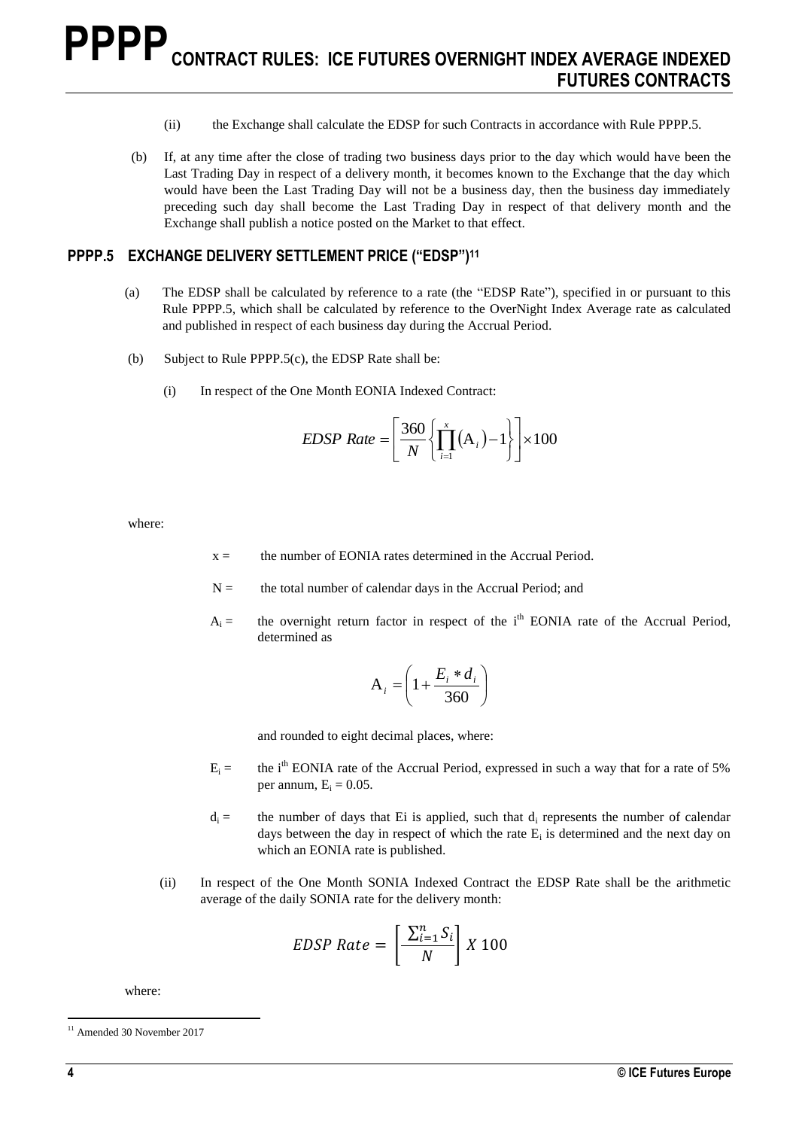- (ii) the Exchange shall calculate the EDSP for such Contracts in accordance with Rule PPPP.5.
- (b) If, at any time after the close of trading two business days prior to the day which would have been the Last Trading Day in respect of a delivery month, it becomes known to the Exchange that the day which would have been the Last Trading Day will not be a business day, then the business day immediately preceding such day shall become the Last Trading Day in respect of that delivery month and the Exchange shall publish a notice posted on the Market to that effect.

#### **PPPP.5 EXCHANGE DELIVERY SETTLEMENT PRICE ("EDSP") 11**

- (a) The EDSP shall be calculated by reference to a rate (the "EDSP Rate"), specified in or pursuant to this Rule PPPP.5, which shall be calculated by reference to the OverNight Index Average rate as calculated and published in respect of each business day during the Accrual Period.
- (b) Subject to Rule PPPP.5(c), the EDSP Rate shall be:
	- (i) In respect of the One Month EONIA Indexed Contract:

$$
EDSP Rate = \left[\frac{360}{N} \left\{ \prod_{i=1}^{x} (A_i) - 1 \right\} \right] \times 100
$$

where:

- $x =$  the number of EONIA rates determined in the Accrual Period.
- $N =$  the total number of calendar days in the Accrual Period; and
- $A_i =$  the overnight return factor in respect of the i<sup>th</sup> EONIA rate of the Accrual Period, determined as

$$
A_i = \left(1 + \frac{E_i * d_i}{360}\right)
$$

and rounded to eight decimal places, where:

- $E_i =$  the i<sup>th</sup> EONIA rate of the Accrual Period, expressed in such a way that for a rate of 5% per annum,  $E_i = 0.05$ .
- $d_i =$  the number of days that Ei is applied, such that  $d_i$  represents the number of calendar days between the day in respect of which the rate  $E_i$  is determined and the next day on which an EONIA rate is published.
- (ii) In respect of the One Month SONIA Indexed Contract the EDSP Rate shall be the arithmetic average of the daily SONIA rate for the delivery month:

$$
EDSP Rate = \left[\frac{\sum_{i=1}^{n} S_i}{N}\right] X 100
$$

where:

<sup>&</sup>lt;sup>11</sup> Amended 30 November 2017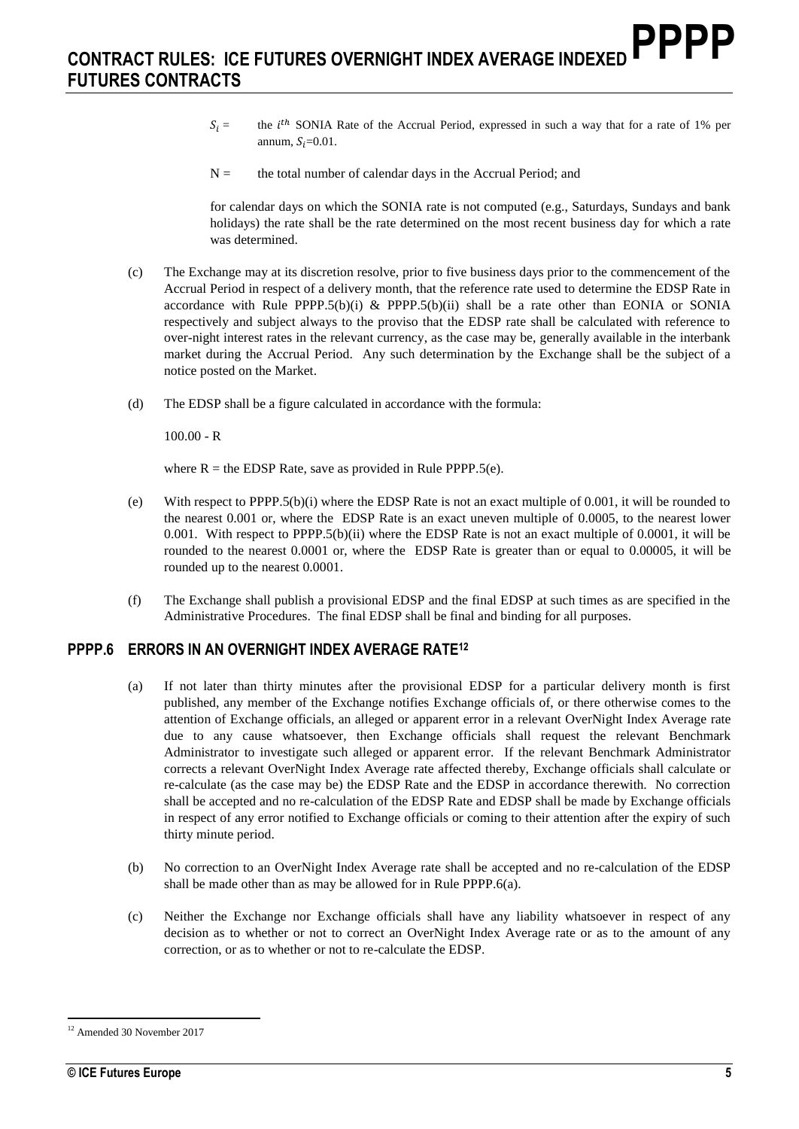- $S_i$  = the *i*<sup>th</sup> SONIA Rate of the Accrual Period, expressed in such a way that for a rate of 1% per annum,  $S_i=0.01$ .
- $N =$  the total number of calendar days in the Accrual Period; and

for calendar days on which the SONIA rate is not computed (e.g., Saturdays, Sundays and bank holidays) the rate shall be the rate determined on the most recent business day for which a rate was determined.

- (c) The Exchange may at its discretion resolve, prior to five business days prior to the commencement of the Accrual Period in respect of a delivery month, that the reference rate used to determine the EDSP Rate in accordance with Rule PPPP.5(b)(i) & PPPP.5(b)(ii) shall be a rate other than EONIA or SONIA respectively and subject always to the proviso that the EDSP rate shall be calculated with reference to over-night interest rates in the relevant currency, as the case may be, generally available in the interbank market during the Accrual Period. Any such determination by the Exchange shall be the subject of a notice posted on the Market.
- (d) The EDSP shall be a figure calculated in accordance with the formula:

 $100.00 - R$ 

where  $R =$  the EDSP Rate, save as provided in Rule PPPP.5(e).

- (e) With respect to PPPP.5(b)(i) where the EDSP Rate is not an exact multiple of 0.001, it will be rounded to the nearest 0.001 or, where the EDSP Rate is an exact uneven multiple of 0.0005, to the nearest lower 0.001. With respect to PPPP.5(b)(ii) where the EDSP Rate is not an exact multiple of 0.0001, it will be rounded to the nearest 0.0001 or, where the EDSP Rate is greater than or equal to 0.00005, it will be rounded up to the nearest 0.0001.
- (f) The Exchange shall publish a provisional EDSP and the final EDSP at such times as are specified in the Administrative Procedures. The final EDSP shall be final and binding for all purposes.

#### **PPPP.6 ERRORS IN AN OVERNIGHT INDEX AVERAGE RATE<sup>12</sup>**

- (a) If not later than thirty minutes after the provisional EDSP for a particular delivery month is first published, any member of the Exchange notifies Exchange officials of, or there otherwise comes to the attention of Exchange officials, an alleged or apparent error in a relevant OverNight Index Average rate due to any cause whatsoever, then Exchange officials shall request the relevant Benchmark Administrator to investigate such alleged or apparent error. If the relevant Benchmark Administrator corrects a relevant OverNight Index Average rate affected thereby, Exchange officials shall calculate or re-calculate (as the case may be) the EDSP Rate and the EDSP in accordance therewith. No correction shall be accepted and no re-calculation of the EDSP Rate and EDSP shall be made by Exchange officials in respect of any error notified to Exchange officials or coming to their attention after the expiry of such thirty minute period.
- (b) No correction to an OverNight Index Average rate shall be accepted and no re-calculation of the EDSP shall be made other than as may be allowed for in Rule PPPP.6(a).
- (c) Neither the Exchange nor Exchange officials shall have any liability whatsoever in respect of any decision as to whether or not to correct an OverNight Index Average rate or as to the amount of any correction, or as to whether or not to re-calculate the EDSP.

<sup>12</sup> Amended 30 November 2017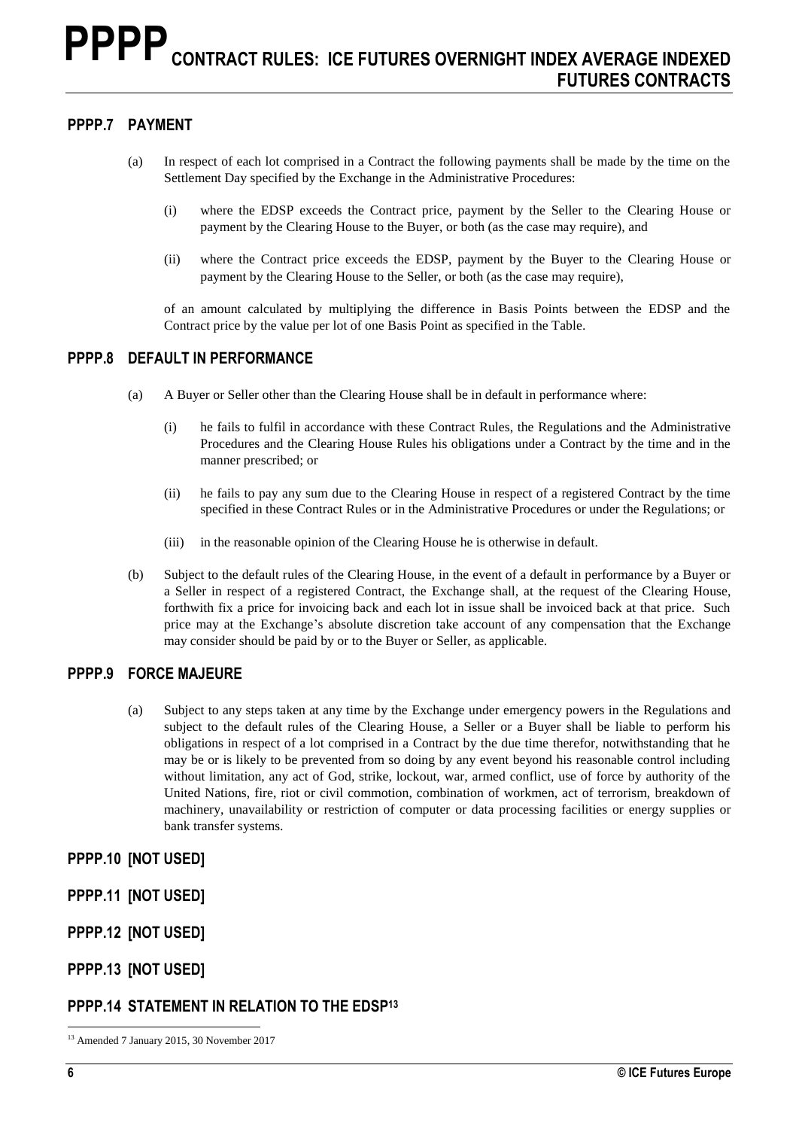#### **PPPP.7 PAYMENT**

- (a) In respect of each lot comprised in a Contract the following payments shall be made by the time on the Settlement Day specified by the Exchange in the Administrative Procedures:
	- (i) where the EDSP exceeds the Contract price, payment by the Seller to the Clearing House or payment by the Clearing House to the Buyer, or both (as the case may require), and
	- (ii) where the Contract price exceeds the EDSP, payment by the Buyer to the Clearing House or payment by the Clearing House to the Seller, or both (as the case may require),

of an amount calculated by multiplying the difference in Basis Points between the EDSP and the Contract price by the value per lot of one Basis Point as specified in the Table.

#### **PPPP.8 DEFAULT IN PERFORMANCE**

- (a) A Buyer or Seller other than the Clearing House shall be in default in performance where:
	- (i) he fails to fulfil in accordance with these Contract Rules, the Regulations and the Administrative Procedures and the Clearing House Rules his obligations under a Contract by the time and in the manner prescribed; or
	- (ii) he fails to pay any sum due to the Clearing House in respect of a registered Contract by the time specified in these Contract Rules or in the Administrative Procedures or under the Regulations; or
	- (iii) in the reasonable opinion of the Clearing House he is otherwise in default.
- (b) Subject to the default rules of the Clearing House, in the event of a default in performance by a Buyer or a Seller in respect of a registered Contract, the Exchange shall, at the request of the Clearing House, forthwith fix a price for invoicing back and each lot in issue shall be invoiced back at that price. Such price may at the Exchange's absolute discretion take account of any compensation that the Exchange may consider should be paid by or to the Buyer or Seller, as applicable.

#### **PPPP.9 FORCE MAJEURE**

(a) Subject to any steps taken at any time by the Exchange under emergency powers in the Regulations and subject to the default rules of the Clearing House, a Seller or a Buyer shall be liable to perform his obligations in respect of a lot comprised in a Contract by the due time therefor, notwithstanding that he may be or is likely to be prevented from so doing by any event beyond his reasonable control including without limitation, any act of God, strike, lockout, war, armed conflict, use of force by authority of the United Nations, fire, riot or civil commotion, combination of workmen, act of terrorism, breakdown of machinery, unavailability or restriction of computer or data processing facilities or energy supplies or bank transfer systems.

**PPPP.10 [NOT USED]**

**PPPP.11 [NOT USED]**

- **PPPP.12 [NOT USED]**
- **PPPP.13 [NOT USED]**

## **PPPP.14 STATEMENT IN RELATION TO THE EDSP<sup>13</sup>**

 $\overline{a}$ <sup>13</sup> Amended 7 January 2015, 30 November 2017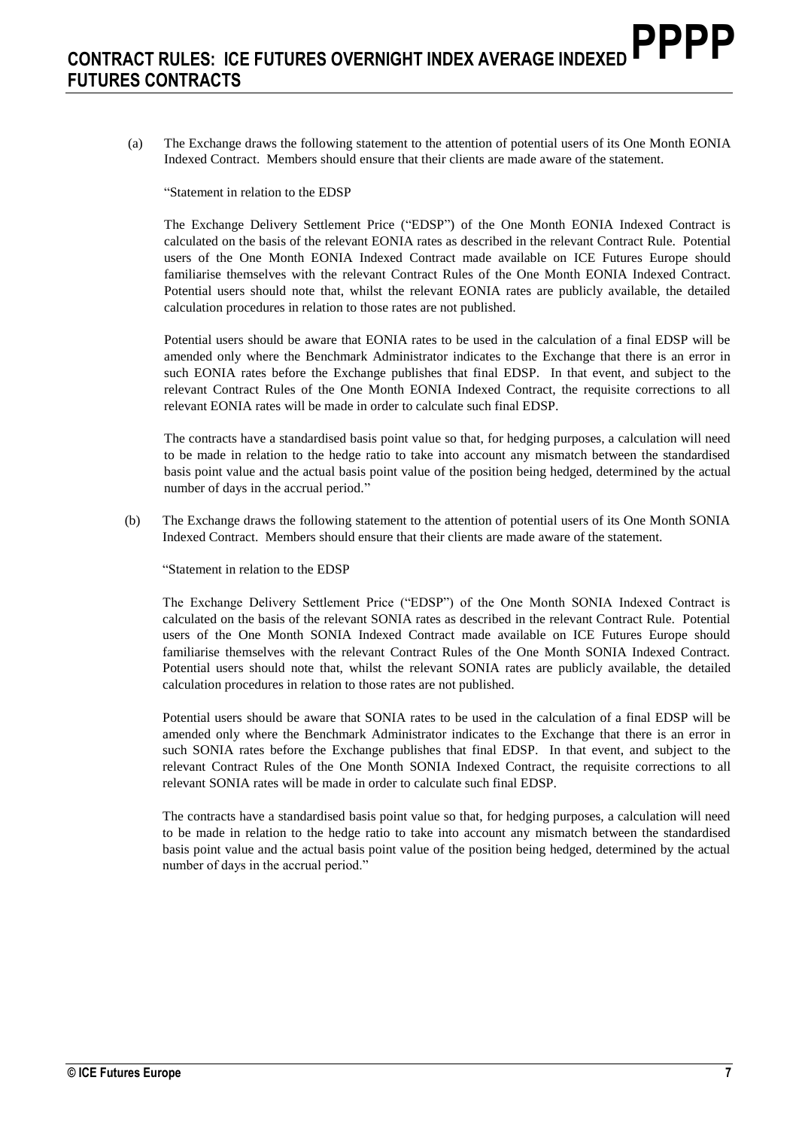(a) The Exchange draws the following statement to the attention of potential users of its One Month EONIA Indexed Contract. Members should ensure that their clients are made aware of the statement.

"Statement in relation to the EDSP

The Exchange Delivery Settlement Price ("EDSP") of the One Month EONIA Indexed Contract is calculated on the basis of the relevant EONIA rates as described in the relevant Contract Rule. Potential users of the One Month EONIA Indexed Contract made available on ICE Futures Europe should familiarise themselves with the relevant Contract Rules of the One Month EONIA Indexed Contract. Potential users should note that, whilst the relevant EONIA rates are publicly available, the detailed calculation procedures in relation to those rates are not published.

Potential users should be aware that EONIA rates to be used in the calculation of a final EDSP will be amended only where the Benchmark Administrator indicates to the Exchange that there is an error in such EONIA rates before the Exchange publishes that final EDSP. In that event, and subject to the relevant Contract Rules of the One Month EONIA Indexed Contract, the requisite corrections to all relevant EONIA rates will be made in order to calculate such final EDSP.

The contracts have a standardised basis point value so that, for hedging purposes, a calculation will need to be made in relation to the hedge ratio to take into account any mismatch between the standardised basis point value and the actual basis point value of the position being hedged, determined by the actual number of days in the accrual period."

(b) The Exchange draws the following statement to the attention of potential users of its One Month SONIA Indexed Contract. Members should ensure that their clients are made aware of the statement.

"Statement in relation to the EDSP

The Exchange Delivery Settlement Price ("EDSP") of the One Month SONIA Indexed Contract is calculated on the basis of the relevant SONIA rates as described in the relevant Contract Rule. Potential users of the One Month SONIA Indexed Contract made available on ICE Futures Europe should familiarise themselves with the relevant Contract Rules of the One Month SONIA Indexed Contract. Potential users should note that, whilst the relevant SONIA rates are publicly available, the detailed calculation procedures in relation to those rates are not published.

Potential users should be aware that SONIA rates to be used in the calculation of a final EDSP will be amended only where the Benchmark Administrator indicates to the Exchange that there is an error in such SONIA rates before the Exchange publishes that final EDSP. In that event, and subject to the relevant Contract Rules of the One Month SONIA Indexed Contract, the requisite corrections to all relevant SONIA rates will be made in order to calculate such final EDSP.

The contracts have a standardised basis point value so that, for hedging purposes, a calculation will need to be made in relation to the hedge ratio to take into account any mismatch between the standardised basis point value and the actual basis point value of the position being hedged, determined by the actual number of days in the accrual period."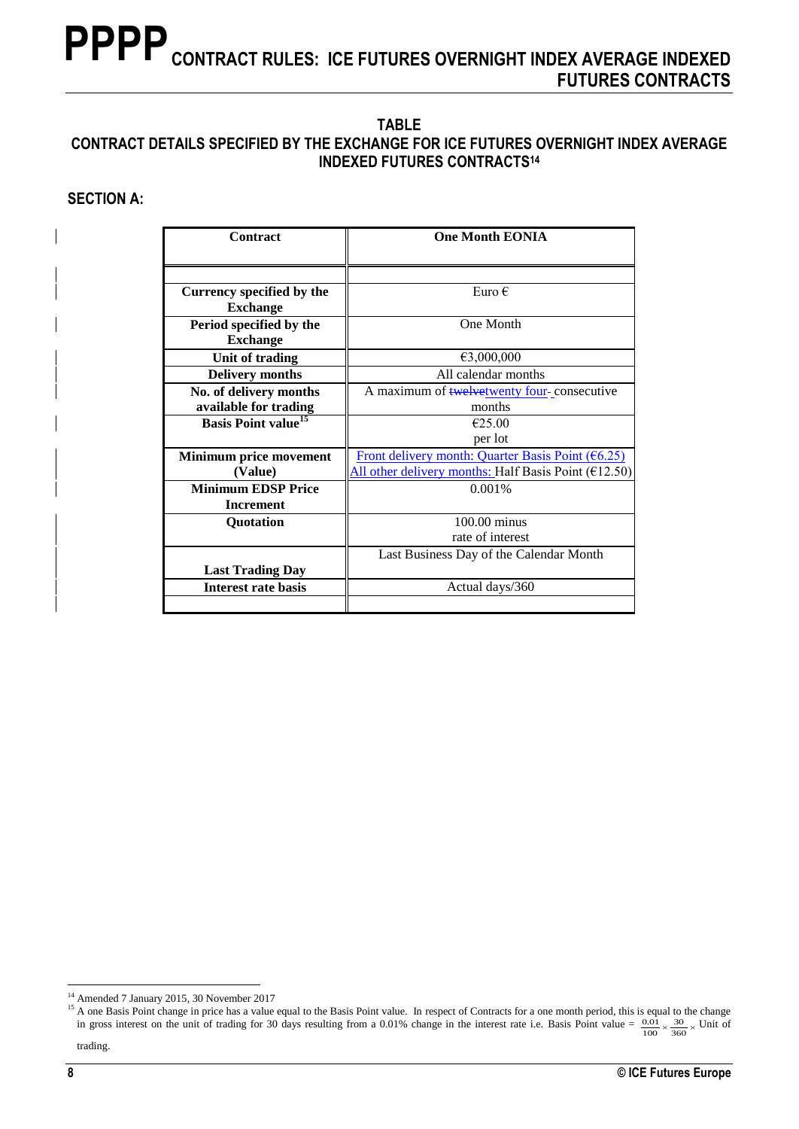#### **TABLE CONTRACT DETAILS SPECIFIED BY THE EXCHANGE FOR ICE FUTURES OVERNIGHT INDEX AVERAGE INDEXED FUTURES CONTRACTS<sup>14</sup>**

#### **SECTION A:**

| Contract                               | <b>One Month EONIA</b>                                   |
|----------------------------------------|----------------------------------------------------------|
|                                        |                                                          |
| Currency specified by the              | Euro $\epsilon$                                          |
| <b>Exchange</b>                        |                                                          |
| Period specified by the                | One Month                                                |
| <b>Exchange</b>                        |                                                          |
| Unit of trading                        | €3,000,000                                               |
| <b>Delivery months</b>                 | All calendar months                                      |
| No. of delivery months                 | A maximum of <b>twelvetwenty</b> four-consecutive        |
| available for trading                  | months                                                   |
| <b>Basis Point value</b> <sup>15</sup> | €25.00                                                   |
|                                        | per lot                                                  |
| <b>Minimum price movement</b>          | Front delivery month: Quarter Basis Point $(6.25)$       |
| (Value)                                | All other delivery months: Half Basis Point ( $E$ 12.50) |
| <b>Minimum EDSP Price</b>              | 0.001%                                                   |
| <b>Increment</b>                       |                                                          |
| Quotation                              | 100.00 minus                                             |
|                                        | rate of interest                                         |
|                                        | Last Business Day of the Calendar Month                  |
| <b>Last Trading Day</b>                |                                                          |
| <b>Interest rate basis</b>             | Actual days/360                                          |
|                                        |                                                          |

<sup>&</sup>lt;sup>14</sup> Amended 7 January 2015, 30 November 2017

<sup>&</sup>lt;sup>15</sup> A one Basis Point change in price has a value equal to the Basis Point value. In respect of Contracts for a one month period, this is equal to the change in gross interest on the unit of trading for 30 days resulting from a 0.01% change in the interest rate i.e. Basis Point value =  $\frac{0.01}{100} \times \frac{30}{360} \times$  Unit of trading. 100 30 360  $\frac{.01}{.02} \times \frac{30}{200} \times$